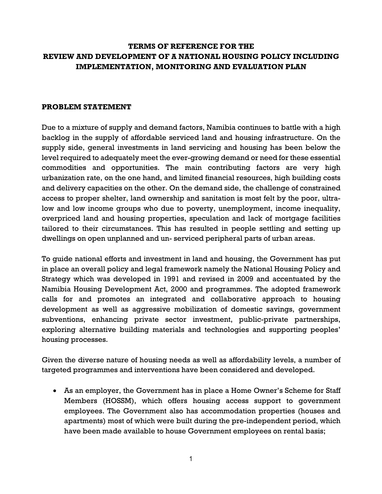# **TERMS OF REFERENCE FOR THE REVIEW AND DEVELOPMENT OF A NATIONAL HOUSING POLICY INCLUDING IMPLEMENTATION, MONITORING AND EVALUATION PLAN**

#### **PROBLEM STATEMENT**

Due to a mixture of supply and demand factors, Namibia continues to battle with a high backlog in the supply of affordable serviced land and housing infrastructure. On the supply side, general investments in land servicing and housing has been below the level required to adequately meet the ever-growing demand or need for these essential commodities and opportunities. The main contributing factors are very high urbanization rate, on the one hand, and limited financial resources, high building costs and delivery capacities on the other. On the demand side, the challenge of constrained access to proper shelter, land ownership and sanitation is most felt by the poor, ultralow and low income groups who due to poverty, unemployment, income inequality, overpriced land and housing properties, speculation and lack of mortgage facilities tailored to their circumstances. This has resulted in people settling and setting up dwellings on open unplanned and un- serviced peripheral parts of urban areas.

To guide national efforts and investment in land and housing, the Government has put in place an overall policy and legal framework namely the National Housing Policy and Strategy which was developed in 1991 and revised in 2009 and accentuated by the Namibia Housing Development Act, 2000 and programmes. The adopted framework calls for and promotes an integrated and collaborative approach to housing development as well as aggressive mobilization of domestic savings, government subventions, enhancing private sector investment, public-private partnerships, exploring alternative building materials and technologies and supporting peoples' housing processes.

Given the diverse nature of housing needs as well as affordability levels, a number of targeted programmes and interventions have been considered and developed.

• As an employer, the Government has in place a Home Owner's Scheme for Staff Members (HOSSM), which offers housing access support to government employees. The Government also has accommodation properties (houses and apartments) most of which were built during the pre-independent period, which have been made available to house Government employees on rental basis;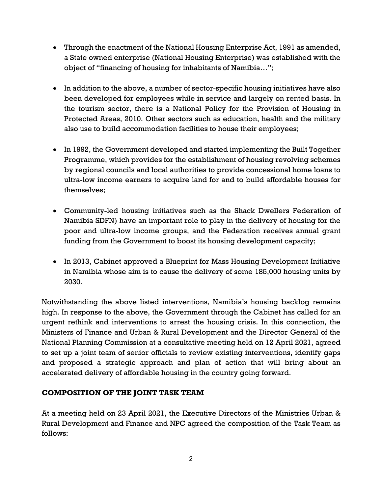- Through the enactment of the National Housing Enterprise Act, 1991 as amended, a State owned enterprise (National Housing Enterprise) was established with the object of "financing of housing for inhabitants of Namibia…";
- In addition to the above, a number of sector-specific housing initiatives have also been developed for employees while in service and largely on rented basis. In the tourism sector, there is a National Policy for the Provision of Housing in Protected Areas, 2010. Other sectors such as education, health and the military also use to build accommodation facilities to house their employees;
- In 1992, the Government developed and started implementing the Built Together Programme, which provides for the establishment of housing revolving schemes by regional councils and local authorities to provide concessional home loans to ultra-low income earners to acquire land for and to build affordable houses for themselves;
- Community-led housing initiatives such as the Shack Dwellers Federation of Namibia SDFN) have an important role to play in the delivery of housing for the poor and ultra-low income groups, and the Federation receives annual grant funding from the Government to boost its housing development capacity;
- In 2013, Cabinet approved a Blueprint for Mass Housing Development Initiative in Namibia whose aim is to cause the delivery of some 185,000 housing units by 2030.

Notwithstanding the above listed interventions, Namibia's housing backlog remains high. In response to the above, the Government through the Cabinet has called for an urgent rethink and interventions to arrest the housing crisis. In this connection, the Ministers of Finance and Urban & Rural Development and the Director General of the National Planning Commission at a consultative meeting held on 12 April 2021, agreed to set up a joint team of senior officials to review existing interventions, identify gaps and proposed a strategic approach and plan of action that will bring about an accelerated delivery of affordable housing in the country going forward.

# **COMPOSITION OF THE JOINT TASK TEAM**

At a meeting held on 23 April 2021, the Executive Directors of the Ministries Urban & Rural Development and Finance and NPC agreed the composition of the Task Team as follows: